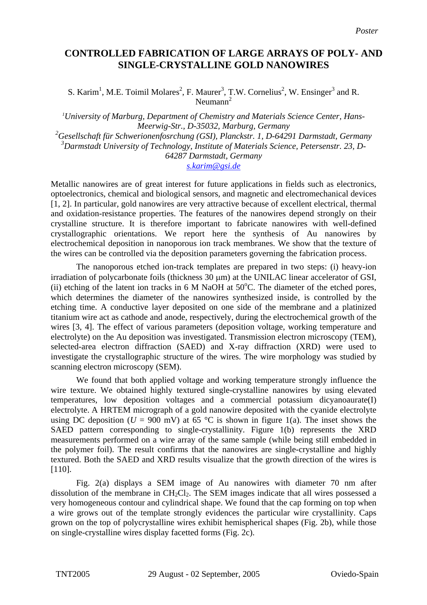## **CONTROLLED FABRICATION OF LARGE ARRAYS OF POLY- AND SINGLE-CRYSTALLINE GOLD NANOWIRES**

S. Karim<sup>1</sup>, M.E. Toimil Molares<sup>2</sup>, F. Maurer<sup>3</sup>, T.W. Cornelius<sup>2</sup>, W. Ensinger<sup>3</sup> and R. Neumann<sup>2</sup>

*1 University of Marburg, Department of Chemistry and Materials Science Center, Hans-Meerwig-Str., D-35032, Marburg, Germany 2 Gesellschaft für Schwerionenfosrchung (GSI), Planckstr. 1, D-64291 Darmstadt, Germany 3 Darmstadt University of Technology, Institute of Materials Science, Petersenstr. 23, D-64287 Darmstadt, Germany [s.karim@gsi.de](mailto:s.karim@gsi.de)*

Metallic nanowires are of great interest for future applications in fields such as electronics, optoelectronics, chemical and biological sensors, and magnetic and electromechanical devices [1, 2]. In particular, gold nanowires are very attractive because of excellent electrical, thermal and oxidation-resistance properties. The features of the nanowires depend strongly on their crystalline structure. It is therefore important to fabricate nanowires with well-defined crystallographic orientations. We report here the synthesis of Au nanowires by electrochemical deposition in nanoporous ion track membranes. We show that the texture of the wires can be controlled via the deposition parameters governing the fabrication process.

 The nanoporous etched ion-track templates are prepared in two steps: (i) heavy-ion irradiation of polycarbonate foils (thickness 30 µm) at the UNILAC linear accelerator of GSI, (ii) etching of the latent ion tracks in  $6$  M NaOH at  $50^{\circ}$ C. The diameter of the etched pores, which determines the diameter of the nanowires synthesized inside, is controlled by the etching time. A conductive layer deposited on one side of the membrane and a platinized titanium wire act as cathode and anode, respectively, during the electrochemical growth of the wires [3, 4]. The effect of various parameters (deposition voltage, working temperature and electrolyte) on the Au deposition was investigated. Transmission electron microscopy (TEM), selected-area electron diffraction (SAED) and X-ray diffraction (XRD) were used to investigate the crystallographic structure of the wires. The wire morphology was studied by scanning electron microscopy (SEM).

 We found that both applied voltage and working temperature strongly influence the wire texture. We obtained highly textured single-crystalline nanowires by using elevated temperatures, low deposition voltages and a commercial potassium dicyanoaurate(I) electrolyte. A HRTEM micrograph of a gold nanowire deposited with the cyanide electrolyte using DC deposition ( $U = 900$  mV) at 65 °C is shown in figure 1(a). The inset shows the SAED pattern corresponding to single-crystallinity. Figure 1(b) represents the XRD measurements performed on a wire array of the same sample (while being still embedded in the polymer foil). The result confirms that the nanowires are single-crystalline and highly textured. Both the SAED and XRD results visualize that the growth direction of the wires is [110].

 Fig. 2(a) displays a SEM image of Au nanowires with diameter 70 nm after dissolution of the membrane in  $CH_2Cl_2$ . The SEM images indicate that all wires possessed a very homogeneous contour and cylindrical shape. We found that the cap forming on top when a wire grows out of the template strongly evidences the particular wire crystallinity. Caps grown on the top of polycrystalline wires exhibit hemispherical shapes (Fig. 2b), while those on single-crystalline wires display facetted forms (Fig. 2c).